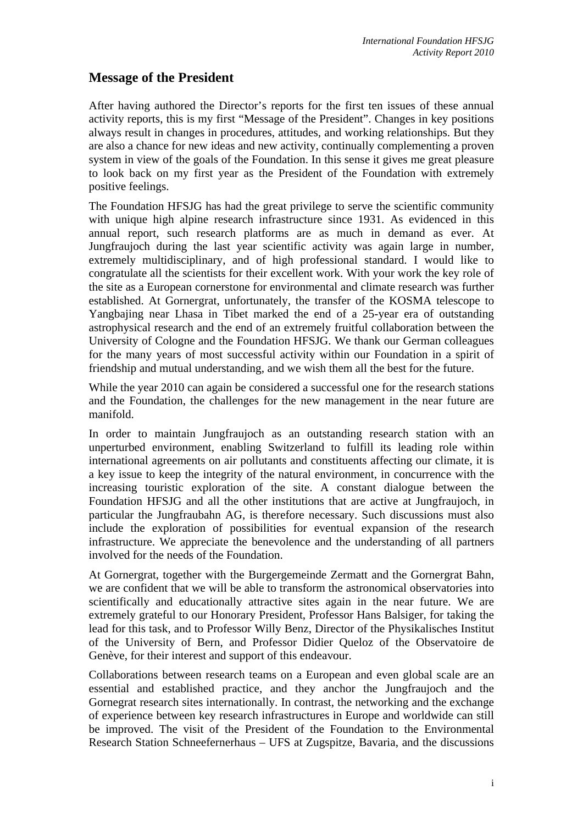## **Message of the President**

After having authored the Director's reports for the first ten issues of these annual activity reports, this is my first "Message of the President". Changes in key positions always result in changes in procedures, attitudes, and working relationships. But they are also a chance for new ideas and new activity, continually complementing a proven system in view of the goals of the Foundation. In this sense it gives me great pleasure to look back on my first year as the President of the Foundation with extremely positive feelings.

The Foundation HFSJG has had the great privilege to serve the scientific community with unique high alpine research infrastructure since 1931. As evidenced in this annual report, such research platforms are as much in demand as ever. At Jungfraujoch during the last year scientific activity was again large in number, extremely multidisciplinary, and of high professional standard. I would like to congratulate all the scientists for their excellent work. With your work the key role of the site as a European cornerstone for environmental and climate research was further established. At Gornergrat, unfortunately, the transfer of the KOSMA telescope to Yangbajing near Lhasa in Tibet marked the end of a 25-year era of outstanding astrophysical research and the end of an extremely fruitful collaboration between the University of Cologne and the Foundation HFSJG. We thank our German colleagues for the many years of most successful activity within our Foundation in a spirit of friendship and mutual understanding, and we wish them all the best for the future.

While the year 2010 can again be considered a successful one for the research stations and the Foundation, the challenges for the new management in the near future are manifold.

In order to maintain Jungfraujoch as an outstanding research station with an unperturbed environment, enabling Switzerland to fulfill its leading role within international agreements on air pollutants and constituents affecting our climate, it is a key issue to keep the integrity of the natural environment, in concurrence with the increasing touristic exploration of the site. A constant dialogue between the Foundation HFSJG and all the other institutions that are active at Jungfraujoch, in particular the Jungfraubahn AG, is therefore necessary. Such discussions must also include the exploration of possibilities for eventual expansion of the research infrastructure. We appreciate the benevolence and the understanding of all partners involved for the needs of the Foundation.

At Gornergrat, together with the Burgergemeinde Zermatt and the Gornergrat Bahn, we are confident that we will be able to transform the astronomical observatories into scientifically and educationally attractive sites again in the near future. We are extremely grateful to our Honorary President, Professor Hans Balsiger, for taking the lead for this task, and to Professor Willy Benz, Director of the Physikalisches Institut of the University of Bern, and Professor Didier Queloz of the Observatoire de Genève, for their interest and support of this endeavour.

Collaborations between research teams on a European and even global scale are an essential and established practice, and they anchor the Jungfraujoch and the Gornegrat research sites internationally. In contrast, the networking and the exchange of experience between key research infrastructures in Europe and worldwide can still be improved. The visit of the President of the Foundation to the Environmental Research Station Schneefernerhaus – UFS at Zugspitze, Bavaria, and the discussions